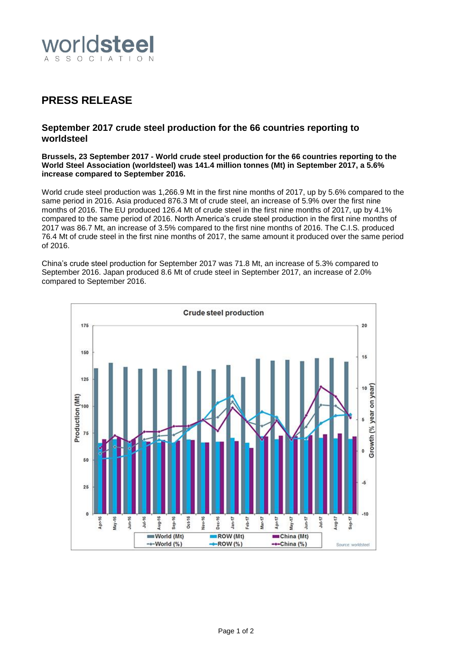

# **PRESS RELEASE**

# **September 2017 crude steel production for the 66 countries reporting to worldsteel**

#### **Brussels, 23 September 2017 - World crude steel production for the 66 countries reporting to the World Steel Association (worldsteel) was 141.4 million tonnes (Mt) in September 2017, a 5.6% increase compared to September 2016.**

World crude steel production was 1,266.9 Mt in the first nine months of 2017, up by 5.6% compared to the same period in 2016. Asia produced 876.3 Mt of crude steel, an increase of 5.9% over the first nine months of 2016. The EU produced 126.4 Mt of crude steel in the first nine months of 2017, up by 4.1% compared to the same period of 2016. North America's crude steel production in the first nine months of 2017 was 86.7 Mt, an increase of 3.5% compared to the first nine months of 2016. The C.I.S. produced 76.4 Mt of crude steel in the first nine months of 2017, the same amount it produced over the same period of 2016.

China's crude steel production for September 2017 was 71.8 Mt, an increase of 5.3% compared to September 2016. Japan produced 8.6 Mt of crude steel in September 2017, an increase of 2.0% compared to September 2016.